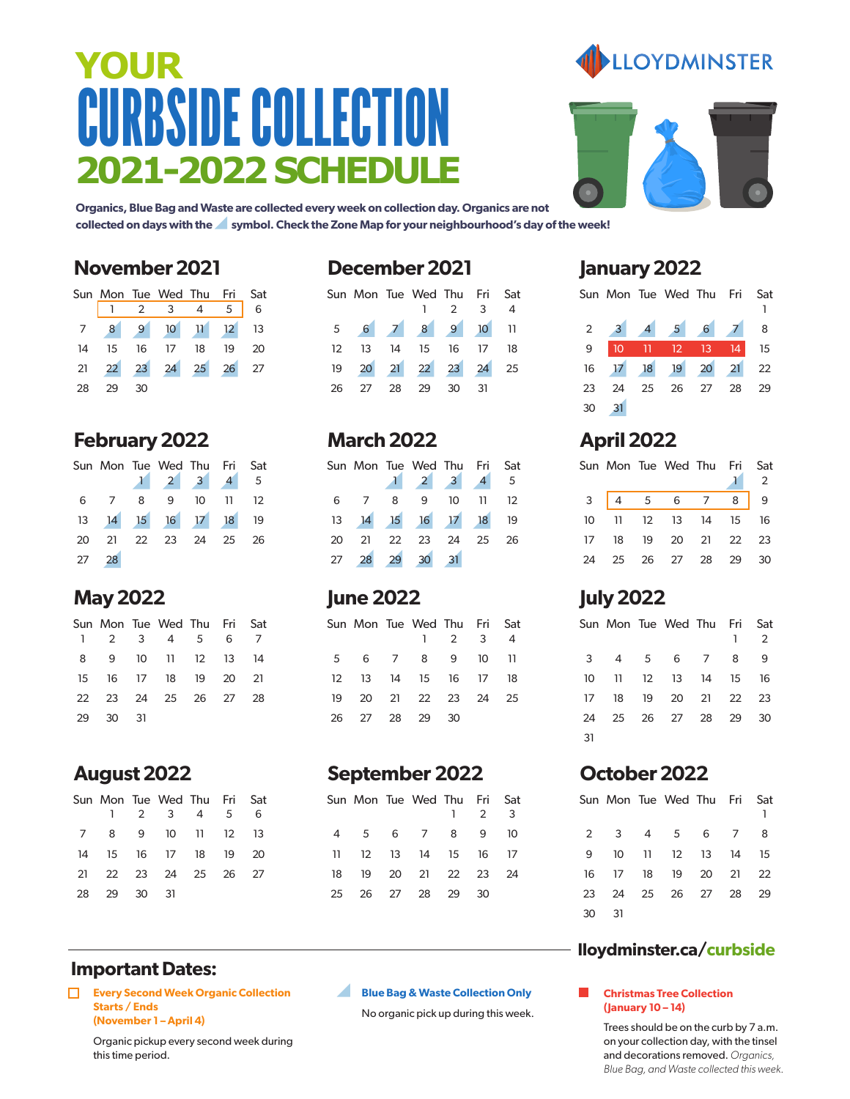# CURBSIDE COLLECTION **2021-2022 SCHEDULE YOUR**



**Organics, Blue Bag and Waste are collected every week on collection day. Organics are not collected on days with the symbol. Check the Zone Map for your neighbourhood's day of the week!**

#### **November 2021**

|    |       | Sun Mon Tue Wed Thu Fri Sat                                    |  |  |
|----|-------|----------------------------------------------------------------|--|--|
|    |       | $\begin{array}{ccccccccc}\n1 & 2 & 3 & 4 & 5 & 6\n\end{array}$ |  |  |
|    |       | 7 8 9 10 11 12 13                                              |  |  |
|    |       | 14    15    16    17    18    19    20                         |  |  |
|    |       | 21  22  23  24  25  26  27                                     |  |  |
| 28 | 29 30 |                                                                |  |  |

#### **February 2022**

|       | Sun Mon Tue Wed Thu Fri Sat         |  |  |
|-------|-------------------------------------|--|--|
|       | $1 \quad 2 \quad 3 \quad 4 \quad 5$ |  |  |
|       | 6 7 8 9 10 11 12                    |  |  |
|       | 13 14 15 16 17 18 19                |  |  |
|       | 20 21 22 23 24 25 26                |  |  |
| 27 28 |                                     |  |  |

#### **May 2022**

|          | Sun Mon Tue Wed Thu Fri Sat<br>1 2 3 4 5 6 7 |  |  |
|----------|----------------------------------------------|--|--|
|          | 8 9 10 11 12 13 14                           |  |  |
|          | 15 16 17 18 19 20 21                         |  |  |
|          | 22 23 24 25 26 27 28                         |  |  |
| 29 30 31 |                                              |  |  |

### **August 2022**

|             | Sun Mon Tue Wed Thu Fri Sat            |  |  |
|-------------|----------------------------------------|--|--|
|             | $1 \t2 \t3 \t4 \t5 \t6$                |  |  |
|             | 7 8 9 10 11 12 13                      |  |  |
|             | 14    15    16    17    18    19    20 |  |  |
|             | 21  22  23  24  25  26  27             |  |  |
| 28 29 30 31 |                                        |  |  |

#### **December 2021**

|         | Sun Mon Tue Wed Thu Fri Sat |                   |                     |                |
|---------|-----------------------------|-------------------|---------------------|----------------|
|         |                             |                   | $1 \quad 2 \quad 3$ | $\overline{4}$ |
|         | 5 6 7 8 9 10 11             |                   |                     |                |
| $12-12$ |                             | 13 14 15 16 17 18 |                     |                |
|         | 19 20 21 22 23 24 25        |                   |                     |                |
| 26      | 27 28 29                    |                   | 30 31               |                |

#### **March 2022**

|    |                | Sun Mon Tue Wed Thu Fri Sat |    |        | $\sqrt{5}$      |
|----|----------------|-----------------------------|----|--------|-----------------|
| 6  | 8 <sup>8</sup> | 9                           | 10 | - 11 - | $\overline{12}$ |
| 13 |                | 14 15 16 17 18 19           |    |        |                 |
| 20 |                | 21  22  23  24  25  26      |    |        |                 |
| 27 |                | 28 29 30 31                 |    |        |                 |

#### **June 2022**

|  | Sun Mon Tue Wed Thu Fri Sat      |             |                |
|--|----------------------------------|-------------|----------------|
|  |                                  | $1 \t2 \t3$ | $\overline{4}$ |
|  | 5 6 7 8 9 10 11                  |             |                |
|  | 12   13   14   15   16   17   18 |             |                |
|  | 19 20 21 22 23 24 25             |             |                |
|  | 26 27 28 29 30                   |             |                |

#### **September 2022**

|     |  | Sun Mon Tue Wed Thu Fri Sat | $1 \t2 \t3$ |  |
|-----|--|-----------------------------|-------------|--|
|     |  | 4 5 6 7 8 9 10              |             |  |
| 11. |  | 12 13 14 15 16 17           |             |  |
| 18  |  | 19 20 21 22 23 24           |             |  |
| 25  |  | 26 27 28 29                 | 30          |  |

#### **January 2022**

|    |  | Sun Mon Tue Wed Thu Fri Sat |  |  |
|----|--|-----------------------------|--|--|
|    |  | $2$ 3 4 5 6 7 8             |  |  |
| 9  |  | 10 11 12 13 14 15           |  |  |
|    |  | 16 17 18 19 20 21 22        |  |  |
| 23 |  | 24  25  26  27  28  29      |  |  |
| 30 |  |                             |  |  |

### **April 2022**

|  | Sun Mon Tue Wed Thu Fri Sat            |  | $\overline{2}$ |
|--|----------------------------------------|--|----------------|
|  | 3   4 5 6 7 8   9                      |  |                |
|  | 10 11 12 13 14 15 16                   |  |                |
|  | 17    18    19    20    21    22    23 |  |                |
|  | 24  25  26  27  28  29  30             |  |                |

### **July 2022**

|    |  | Sun Mon Tue Wed Thu Fri |  | Sat<br>2 |
|----|--|-------------------------|--|----------|
|    |  | 3 4 5 6 7 8             |  | - 9      |
| 10 |  | 11 12 13 14 15 16       |  |          |
| 17 |  | 18 19 20 21 22 23       |  |          |
| 24 |  | 25 26 27 28 29 30       |  |          |
| 31 |  |                         |  |          |

### **October 2022**

|    |    | Sun Mon Tue Wed Thu Fri Sat |  | 1. |
|----|----|-----------------------------|--|----|
|    |    | 2 3 4 5 6 7 8               |  |    |
| 9  |    | 10 11 12 13 14 15           |  |    |
| 16 |    | 17 18 19 20 21 22           |  |    |
| 23 |    | 24 25 26 27 28 29           |  |    |
| 30 | 31 |                             |  |    |

#### **lloydminster.ca/curbside**

#### **Christmas Tree Collection (January 10 – 14)**

Trees should be on the curb by 7 a.m. on your collection day, with the tinsel and decorations removed. *Organics, Blue Bag, and Waste collected this week.*

#### **Important Dates:**

**Every Second Week Organic Collection Starts / Ends (November 1 – April 4)**

> Organic pickup every second week during this time period.

#### Z. **Blue Bag & Waste Collection Only**

No organic pick up during this week.